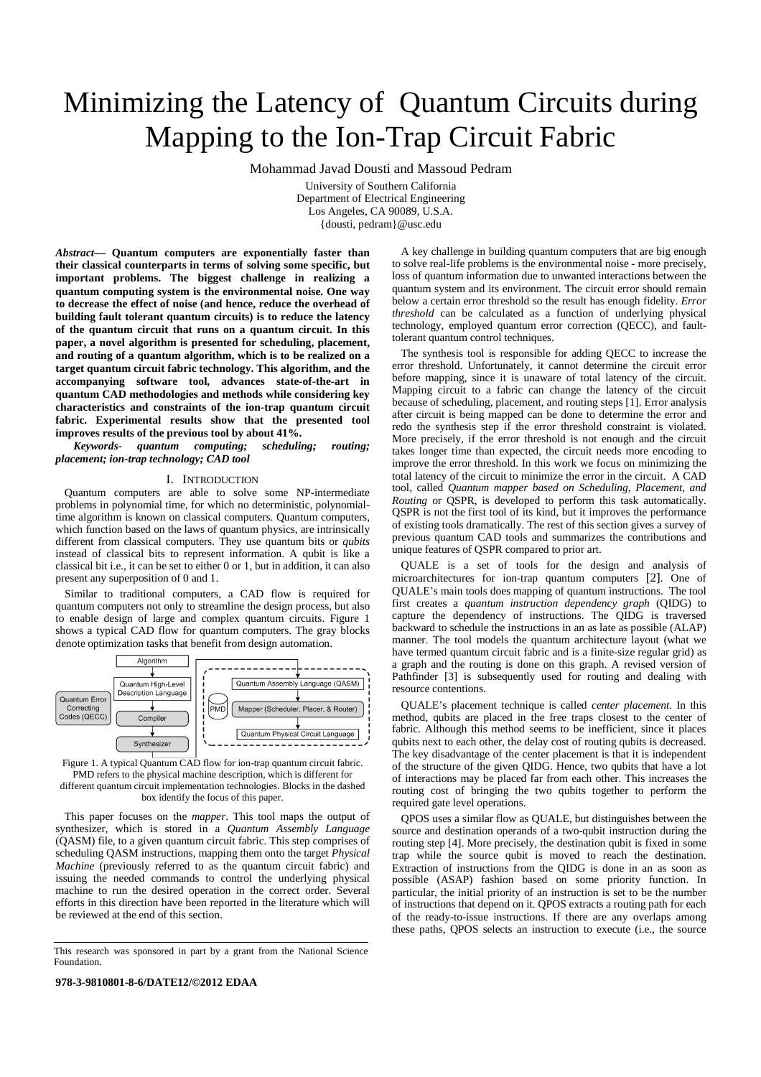# Minimizing the Latency of Quantum Circuits during Mapping to the Ion-Trap Circuit Fabric

Mohammad Javad Dousti and Massoud Pedram

University of Southern California Department of Electrical Engineering Los Angeles, CA 90089, U.S.A. {dousti, pedram}@usc.edu

*Abstract***— Quantum computers are exponentially faster than their classical counterparts in terms of solving some specific, but important problems. The biggest challenge in realizing a quantum computing system is the environmental noise. One way to decrease the effect of noise (and hence, reduce the overhead of building fault tolerant quantum circuits) is to reduce the latency of the quantum circuit that runs on a quantum circuit. In this paper, a novel algorithm is presented for scheduling, placement, and routing of a quantum algorithm, which is to be realized on a target quantum circuit fabric technology. This algorithm, and the accompanying software tool, advances state-of-the-art in quantum CAD methodologies and methods while considering key characteristics and constraints of the ion-trap quantum circuit fabric. Experimental results show that the presented tool improves results of the previous tool by about 41%.** 

*Keywords- quantum computing; scheduling; routing; placement; ion-trap technology; CAD tool* 

#### I. INTRODUCTION

Quantum computers are able to solve some NP-intermediate problems in polynomial time, for which no deterministic, polynomialtime algorithm is known on classical computers. Quantum computers, which function based on the laws of quantum physics, are intrinsically different from classical computers. They use quantum bits or *qubits* instead of classical bits to represent information. A qubit is like a classical bit i.e., it can be set to either 0 or 1, but in addition, it can also present any superposition of 0 and 1.

Similar to traditional computers, a CAD flow is required for quantum computers not only to streamline the design process, but also to enable design of large and complex quantum circuits. Figure 1 shows a typical CAD flow for quantum computers. The gray blocks denote optimization tasks that benefit from design automation.



Figure 1. A typical Quantum CAD flow for ion-trap quantum circuit fabric. PMD refers to the physical machine description, which is different for different quantum circuit implementation technologies. Blocks in the dashed box identify the focus of this paper.

This paper focuses on the *mapper*. This tool maps the output of synthesizer, which is stored in a *Quantum Assembly Language* (QASM) file, to a given quantum circuit fabric. This step comprises of scheduling QASM instructions, mapping them onto the target *Physical Machine* (previously referred to as the quantum circuit fabric) and issuing the needed commands to control the underlying physical machine to run the desired operation in the correct order. Several efforts in this direction have been reported in the literature which will be reviewed at the end of this section.

**978-3-9810801-8-6/DATE12/©2012 EDAA**

A key challenge in building quantum computers that are big enough to solve real-life problems is the environmental noise - more precisely, loss of quantum information due to unwanted interactions between the quantum system and its environment. The circuit error should remain below a certain error threshold so the result has enough fidelity. *Error threshold* can be calculated as a function of underlying physical technology, employed quantum error correction (QECC), and faulttolerant quantum control techniques.

The synthesis tool is responsible for adding QECC to increase the error threshold. Unfortunately, it cannot determine the circuit error before mapping, since it is unaware of total latency of the circuit. Mapping circuit to a fabric can change the latency of the circuit because of scheduling, placement, and routing steps [1]. Error analysis after circuit is being mapped can be done to determine the error and redo the synthesis step if the error threshold constraint is violated. More precisely, if the error threshold is not enough and the circuit takes longer time than expected, the circuit needs more encoding to improve the error threshold. In this work we focus on minimizing the total latency of the circuit to minimize the error in the circuit. A CAD tool, called *Quantum mapper based on Scheduling, Placement, and Routing* or QSPR, is developed to perform this task automatically. QSPR is not the first tool of its kind, but it improves the performance of existing tools dramatically. The rest of this section gives a survey of previous quantum CAD tools and summarizes the contributions and unique features of QSPR compared to prior art.

QUALE is a set of tools for the design and analysis of microarchitectures for ion-trap quantum computers [2]. One of QUALE's main tools does mapping of quantum instructions. The tool first creates a *quantum instruction dependency graph* (QIDG) to capture the dependency of instructions. The QIDG is traversed backward to schedule the instructions in an as late as possible (ALAP) manner. The tool models the quantum architecture layout (what we have termed quantum circuit fabric and is a finite-size regular grid) as a graph and the routing is done on this graph. A revised version of Pathfinder [3] is subsequently used for routing and dealing with resource contentions.

QUALE's placement technique is called *center placement*. In this method, qubits are placed in the free traps closest to the center of fabric. Although this method seems to be inefficient, since it places qubits next to each other, the delay cost of routing qubits is decreased. The key disadvantage of the center placement is that it is independent of the structure of the given QIDG. Hence, two qubits that have a lot of interactions may be placed far from each other. This increases the routing cost of bringing the two qubits together to perform the required gate level operations.

QPOS uses a similar flow as QUALE, but distinguishes between the source and destination operands of a two-qubit instruction during the routing step [4]. More precisely, the destination qubit is fixed in some trap while the source qubit is moved to reach the destination. Extraction of instructions from the QIDG is done in an as soon as possible (ASAP) fashion based on some priority function. In particular, the initial priority of an instruction is set to be the number of instructions that depend on it. QPOS extracts a routing path for each of the ready-to-issue instructions. If there are any overlaps among these paths, QPOS selects an instruction to execute (i.e., the source

This research was sponsored in part by a grant from the National Science Foundation.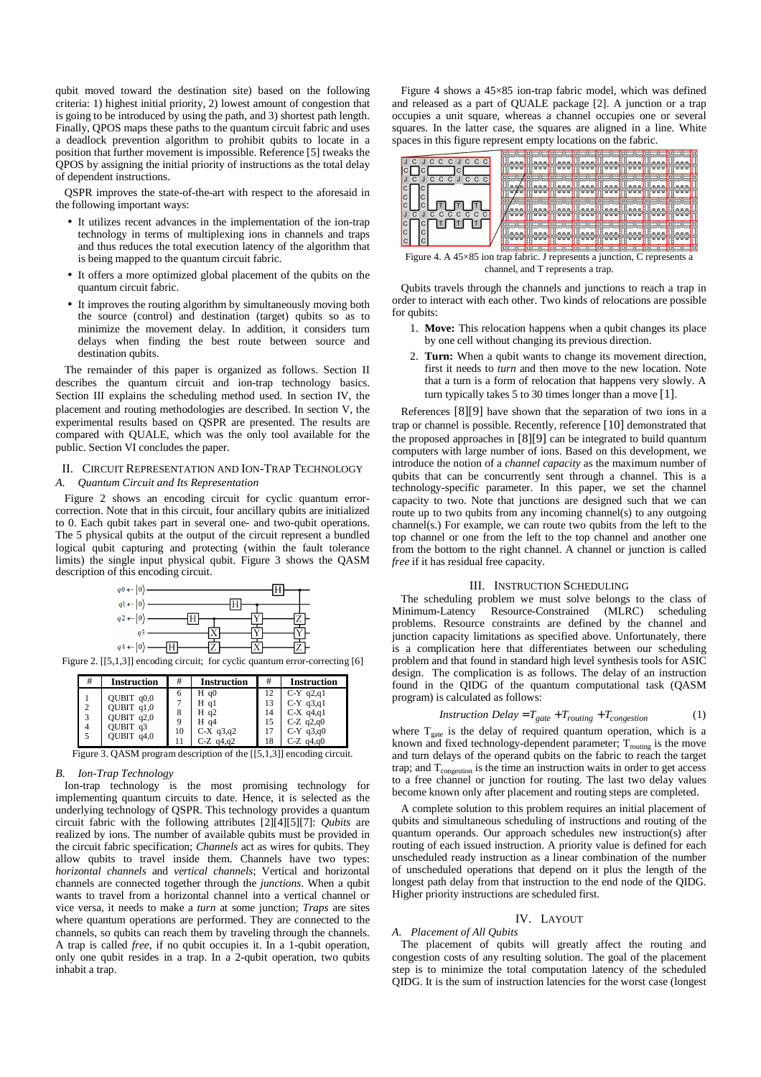qubit moved toward the destination site) based on the following criteria: 1) highest initial priority, 2) lowest amount of congestion that is going to be introduced by using the path, and 3) shortest path length. Finally, QPOS maps these paths to the quantum circuit fabric and uses a deadlock prevention algorithm to prohibit qubits to locate in a position that further movement is impossible. Reference [5] tweaks the QPOS by assigning the initial priority of instructions as the total delay of dependent instructions.

QSPR improves the state-of-the-art with respect to the aforesaid in the following important ways:

- It utilizes recent advances in the implementation of the ion-trap technology in terms of multiplexing ions in channels and traps and thus reduces the total execution latency of the algorithm that is being mapped to the quantum circuit fabric.
- It offers a more optimized global placement of the qubits on the quantum circuit fabric.
- It improves the routing algorithm by simultaneously moving both the source (control) and destination (target) qubits so as to minimize the movement delay. In addition, it considers turn delays when finding the best route between source and destination qubits.

The remainder of this paper is organized as follows. Section II describes the quantum circuit and ion-trap technology basics. Section III explains the scheduling method used. In section IV, the placement and routing methodologies are described. In section V, the experimental results based on QSPR are presented. The results are compared with QUALE, which was the only tool available for the public. Section VI concludes the paper.

# II. CIRCUIT REPRESENTATION AND ION-TRAP TECHNOLOGY *A. Quantum Circuit and Its Representation*

Figure 2 shows an encoding circuit for cyclic quantum errorcorrection. Note that in this circuit, four ancillary qubits are initialized to 0. Each qubit takes part in several one- and two-qubit operations. The 5 physical qubits at the output of the circuit represent a bundled logical qubit capturing and protecting (within the fault tolerance limits) the single input physical qubit. Figure 3 shows the QASM description of this encoding circuit.



Figure 2. [[5,1,3]] encoding circuit; for cyclic quantum error-correcting [6]

|          | <b>Instruction</b>                                                     | #                 | <b>Instruction</b>                                                      | #                                | <b>Instruction</b>                                                                     |
|----------|------------------------------------------------------------------------|-------------------|-------------------------------------------------------------------------|----------------------------------|----------------------------------------------------------------------------------------|
| $\gamma$ | OUBIT q0,0<br>OUBIT q1,0<br>$OUBIT$ $q2.0$<br>OUBIT q3<br>$OUBIT$ q4,0 | 6<br>8<br>9<br>10 | H <sub>q0</sub><br>$H$ q1<br>H q2<br>H q4<br>$C-X$ q3,q2<br>$C-Z$ q4,q2 | 12<br>13<br>14<br>15<br>17<br>18 | $C-Y$ q2,q1<br>$C-Y$ q3,q1<br>$C-X$ q4,q1<br>C-Z $q2,q0$<br>$C-Y$ q3,q0<br>$C-Z$ q4,q0 |

Figure 3. QASM program description of the [[5,1,3]] encoding circuit.

## *B. Ion-Trap Technology*

Ion-trap technology is the most promising technology for implementing quantum circuits to date. Hence, it is selected as the underlying technology of QSPR. This technology provides a quantum circuit fabric with the following attributes [2][4][5][7]: *Qubits* are realized by ions. The number of available qubits must be provided in the circuit fabric specification; *Channels* act as wires for qubits. They allow qubits to travel inside them. Channels have two types: *horizontal channels* and *vertical channels*; Vertical and horizontal channels are connected together through the *junctions*. When a qubit wants to travel from a horizontal channel into a vertical channel or vice versa, it needs to make a *turn* at some junction; *Traps* are sites where quantum operations are performed. They are connected to the channels, so qubits can reach them by traveling through the channels. A trap is called *free*, if no qubit occupies it. In a 1-qubit operation, only one qubit resides in a trap. In a 2-qubit operation, two qubits inhabit a trap.

Figure 4 shows a 45×85 ion-trap fabric model, which was defined and released as a part of QUALE package [2]. A junction or a trap occupies a unit square, whereas a channel occupies one or several squares. In the latter case, the squares are aligned in a line. White spaces in this figure represent empty locations on the fabric.

| J C C C J C C C            |            |      |                    |             | <u>lnının ililmının ililminin ililminin ilil</u>          | mmmlinnm |                   |
|----------------------------|------------|------|--------------------|-------------|-----------------------------------------------------------|----------|-------------------|
| CCCJCCC                    |            |      |                    |             |                                                           |          |                   |
|                            |            | 'mmm | 1 m m m l<br>முமும | ՠՠՠ<br>տարա | 1 K m m m k<br>บายาย                                      |          | տտա               |
|                            |            |      |                    |             |                                                           |          |                   |
| c c c<br>$\mathbf{C}$<br>C |            |      |                    |             | <u>Linin Riklinni Kikinin Riklinni Kikinin Riklinnin </u> |          | ատա<br>րտարա      |
|                            |            |      |                    |             |                                                           |          |                   |
|                            | <b>IMM</b> |      | .                  | <b>mmm</b>  |                                                           |          | <b>mmm</b><br>www |
|                            |            |      |                    |             |                                                           |          |                   |

Figure 4. A 45×85 ion trap fabric. J represents a junction, C represents a channel, and T represents a trap.

Qubits travels through the channels and junctions to reach a trap in order to interact with each other. Two kinds of relocations are possible for qubits:

- 1. **Move:** This relocation happens when a qubit changes its place by one cell without changing its previous direction.
- 2. **Turn:** When a qubit wants to change its movement direction, first it needs to *turn* and then move to the new location. Note that a turn is a form of relocation that happens very slowly. A turn typically takes 5 to 30 times longer than a move [1].

References [8][9] have shown that the separation of two ions in a trap or channel is possible. Recently, reference [10] demonstrated that the proposed approaches in [8][9] can be integrated to build quantum computers with large number of ions. Based on this development, we introduce the notion of a *channel capacity* as the maximum number of qubits that can be concurrently sent through a channel. This is a technology-specific parameter. In this paper, we set the channel capacity to two. Note that junctions are designed such that we can route up to two qubits from any incoming channel(s) to any outgoing channel(s.) For example, we can route two qubits from the left to the top channel or one from the left to the top channel and another one from the bottom to the right channel. A channel or junction is called *free* if it has residual free capacity.

# III. INSTRUCTION SCHEDULING

The scheduling problem we must solve belongs to the class of linimum-Latency Resource-Constrained (MLRC) scheduling Minimum-Latency Resource-Constrained problems. Resource constraints are defined by the channel and junction capacity limitations as specified above. Unfortunately, there is a complication here that differentiates between our scheduling problem and that found in standard high level synthesis tools for ASIC design. The complication is as follows. The delay of an instruction found in the QIDG of the quantum computational task (QASM program) is calculated as follows:

$$
Instruction\ Delay = T_{gate} + T_{routing} + T_{congestion} \tag{1}
$$

where  $T_{gate}$  is the delay of required quantum operation, which is a known and fixed technology-dependent parameter;  $T_{\text{routing}}$  is the move and turn delays of the operand qubits on the fabric to reach the target trap; and  $T_{\text{congestion}}$  is the time an instruction waits in order to get access to a free channel or junction for routing. The last two delay values become known only after placement and routing steps are completed.

A complete solution to this problem requires an initial placement of qubits and simultaneous scheduling of instructions and routing of the quantum operands. Our approach schedules new instruction(s) after routing of each issued instruction. A priority value is defined for each unscheduled ready instruction as a linear combination of the number of unscheduled operations that depend on it plus the length of the longest path delay from that instruction to the end node of the QIDG. Higher priority instructions are scheduled first.

## IV. LAYOUT

# *A. Placement of All Qubits*

The placement of qubits will greatly affect the routing and congestion costs of any resulting solution. The goal of the placement step is to minimize the total computation latency of the scheduled QIDG. It is the sum of instruction latencies for the worst case (longest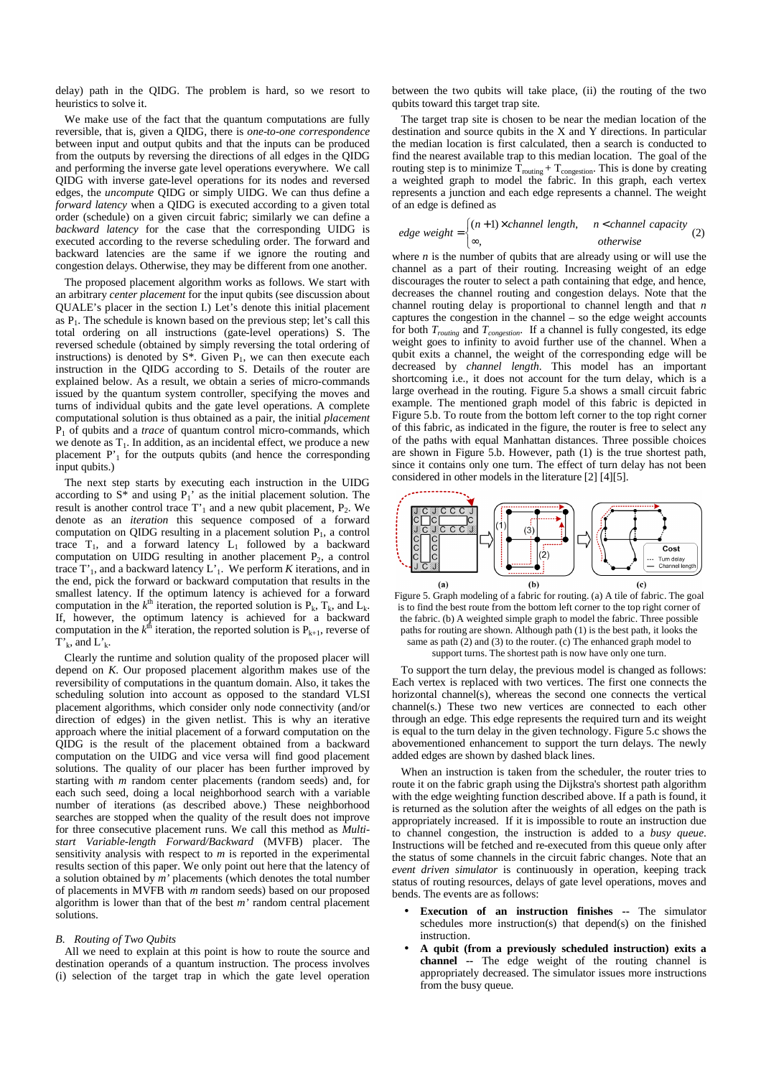delay) path in the QIDG. The problem is hard, so we resort to heuristics to solve it.

We make use of the fact that the quantum computations are fully reversible, that is, given a QIDG, there is *one-to-one correspondence* between input and output qubits and that the inputs can be produced from the outputs by reversing the directions of all edges in the QIDG and performing the inverse gate level operations everywhere. We call QIDG with inverse gate-level operations for its nodes and reversed edges, the *uncompute* QIDG or simply UIDG. We can thus define a *forward latency* when a QIDG is executed according to a given total order (schedule) on a given circuit fabric; similarly we can define a *backward latency* for the case that the corresponding UIDG is executed according to the reverse scheduling order. The forward and backward latencies are the same if we ignore the routing and congestion delays. Otherwise, they may be different from one another.

The proposed placement algorithm works as follows. We start with an arbitrary *center placement* for the input qubits (see discussion about QUALE's placer in the section I.) Let's denote this initial placement as  $P_1$ . The schedule is known based on the previous step; let's call this total ordering on all instructions (gate-level operations) S. The reversed schedule (obtained by simply reversing the total ordering of instructions) is denoted by  $S^*$ . Given  $P_1$ , we can then execute each instruction in the QIDG according to S. Details of the router are explained below. As a result, we obtain a series of micro-commands issued by the quantum system controller, specifying the moves and turns of individual qubits and the gate level operations. A complete computational solution is thus obtained as a pair, the initial *placement* P1 of qubits and a *trace* of quantum control micro-commands, which we denote as  $T_1$ . In addition, as an incidental effect, we produce a new placement  $P'$ <sub>1</sub> for the outputs qubits (and hence the corresponding input qubits.)

The next step starts by executing each instruction in the UIDG according to  $S^*$  and using  $P_1$ ' as the initial placement solution. The result is another control trace  $T'_1$  and a new qubit placement,  $P_2$ . We denote as an *iteration* this sequence composed of a forward computation on QIDG resulting in a placement solution  $P_1$ , a control trace  $T_1$ , and a forward latency  $L_1$  followed by a backward computation on UIDG resulting in another placement  $P_2$ , a control trace  $T'_1$ , and a backward latency  $L'_1$ . We perform *K* iterations, and in the end, pick the forward or backward computation that results in the smallest latency. If the optimum latency is achieved for a forward computation in the  $k^{\text{th}}$  iteration, the reported solution is  $P_k$ ,  $T_k$ , and  $L_k$ . If, however, the optimum latency is achieved for a backward computation in the  $k^{\text{th}}$  iteration, the reported solution is  $P_{k+1}$ , reverse of  $T'_{k}$ , and  $L'_{k}$ .

Clearly the runtime and solution quality of the proposed placer will depend on *K*. Our proposed placement algorithm makes use of the reversibility of computations in the quantum domain. Also, it takes the scheduling solution into account as opposed to the standard VLSI placement algorithms, which consider only node connectivity (and/or direction of edges) in the given netlist. This is why an iterative approach where the initial placement of a forward computation on the QIDG is the result of the placement obtained from a backward computation on the UIDG and vice versa will find good placement solutions. The quality of our placer has been further improved by starting with *m* random center placements (random seeds) and, for each such seed, doing a local neighborhood search with a variable number of iterations (as described above.) These neighborhood searches are stopped when the quality of the result does not improve for three consecutive placement runs. We call this method as *Multistart Variable-length Forward/Backward* (MVFB) placer. The sensitivity analysis with respect to *m* is reported in the experimental results section of this paper. We only point out here that the latency of a solution obtained by *m'* placements (which denotes the total number of placements in MVFB with *m* random seeds) based on our proposed algorithm is lower than that of the best *m'* random central placement solutions.

## *B. Routing of Two Qubits*

All we need to explain at this point is how to route the source and destination operands of a quantum instruction. The process involves (i) selection of the target trap in which the gate level operation between the two qubits will take place, (ii) the routing of the two qubits toward this target trap site.

The target trap site is chosen to be near the median location of the destination and source qubits in the X and Y directions. In particular the median location is first calculated, then a search is conducted to find the nearest available trap to this median location. The goal of the routing step is to minimize  $T_{\text{routing}} + T_{\text{congestion}}$ . This is done by creating a weighted graph to model the fabric. In this graph, each vertex represents a junction and each edge represents a channel. The weight of an edge is defined as

edge weight = 
$$
\begin{cases} (n+1) \times channel \ length, & n < channel \ capacity \\ \infty, & otherwise \end{cases}
$$
 (2)

where  $n$  is the number of qubits that are already using or will use the channel as a part of their routing. Increasing weight of an edge discourages the router to select a path containing that edge, and hence, decreases the channel routing and congestion delays. Note that the channel routing delay is proportional to channel length and that *n* captures the congestion in the channel – so the edge weight accounts for both *Trouting* and *Tcongestion*. If a channel is fully congested, its edge weight goes to infinity to avoid further use of the channel. When a qubit exits a channel, the weight of the corresponding edge will be decreased by *channel length*. This model has an important shortcoming i.e., it does not account for the turn delay, which is a large overhead in the routing. Figure 5.a shows a small circuit fabric example. The mentioned graph model of this fabric is depicted in Figure 5.b. To route from the bottom left corner to the top right corner of this fabric, as indicated in the figure, the router is free to select any of the paths with equal Manhattan distances. Three possible choices are shown in Figure 5.b. However, path (1) is the true shortest path, since it contains only one turn. The effect of turn delay has not been considered in other models in the literature [2] [4][5].



Figure 5. Graph modeling of a fabric for routing. (a) A tile of fabric. The goal is to find the best route from the bottom left corner to the top right corner of the fabric. (b) A weighted simple graph to model the fabric. Three possible paths for routing are shown. Although path (1) is the best path, it looks the same as path (2) and (3) to the router. (c) The enhanced graph model to support turns. The shortest path is now have only one turn.

To support the turn delay, the previous model is changed as follows: Each vertex is replaced with two vertices. The first one connects the horizontal channel(s), whereas the second one connects the vertical channel(s.) These two new vertices are connected to each other through an edge. This edge represents the required turn and its weight is equal to the turn delay in the given technology. Figure 5.c shows the abovementioned enhancement to support the turn delays. The newly added edges are shown by dashed black lines.

When an instruction is taken from the scheduler, the router tries to route it on the fabric graph using the Dijkstra's shortest path algorithm with the edge weighting function described above. If a path is found, it is returned as the solution after the weights of all edges on the path is appropriately increased. If it is impossible to route an instruction due to channel congestion, the instruction is added to a *busy queue*. Instructions will be fetched and re-executed from this queue only after the status of some channels in the circuit fabric changes. Note that an *event driven simulator* is continuously in operation, keeping track status of routing resources, delays of gate level operations, moves and bends. The events are as follows:

- **Execution of an instruction finishes --** The simulator schedules more instruction(s) that depend(s) on the finished instruction.
- **A qubit (from a previously scheduled instruction) exits a channel --** The edge weight of the routing channel is appropriately decreased. The simulator issues more instructions from the busy queue.